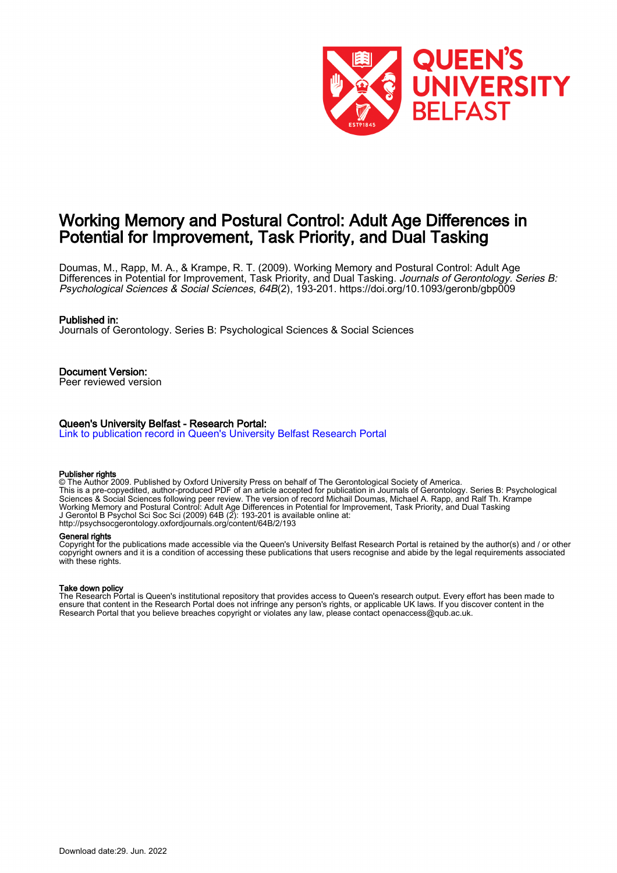

# Working Memory and Postural Control: Adult Age Differences in Potential for Improvement, Task Priority, and Dual Tasking

Doumas, M., Rapp, M. A., & Krampe, R. T. (2009). Working Memory and Postural Control: Adult Age Differences in Potential for Improvement, Task Priority, and Dual Tasking. Journals of Gerontology. Series B: Psychological Sciences & Social Sciences, 64B(2), 193-201. <https://doi.org/10.1093/geronb/gbp009>

#### Published in:

Journals of Gerontology. Series B: Psychological Sciences & Social Sciences

Document Version: Peer reviewed version

#### Queen's University Belfast - Research Portal:

[Link to publication record in Queen's University Belfast Research Portal](https://pure.qub.ac.uk/en/publications/73e80086-5ae7-4e9e-bed3-4c0f3c66129b)

#### Publisher rights

© The Author 2009. Published by Oxford University Press on behalf of The Gerontological Society of America. This is a pre-copyedited, author-produced PDF of an article accepted for publication in Journals of Gerontology. Series B: Psychological Sciences & Social Sciences following peer review. The version of record Michail Doumas, Michael A. Rapp, and Ralf Th. Krampe Working Memory and Postural Control: Adult Age Differences in Potential for Improvement, Task Priority, and Dual Tasking J Gerontol B Psychol Sci Soc Sci (2009) 64B (2): 193-201 is available online at: http://psychsocgerontology.oxfordjournals.org/content/64B/2/193

#### General rights

Copyright for the publications made accessible via the Queen's University Belfast Research Portal is retained by the author(s) and / or other copyright owners and it is a condition of accessing these publications that users recognise and abide by the legal requirements associated with these rights.

#### Take down policy

The Research Portal is Queen's institutional repository that provides access to Queen's research output. Every effort has been made to ensure that content in the Research Portal does not infringe any person's rights, or applicable UK laws. If you discover content in the Research Portal that you believe breaches copyright or violates any law, please contact openaccess@qub.ac.uk.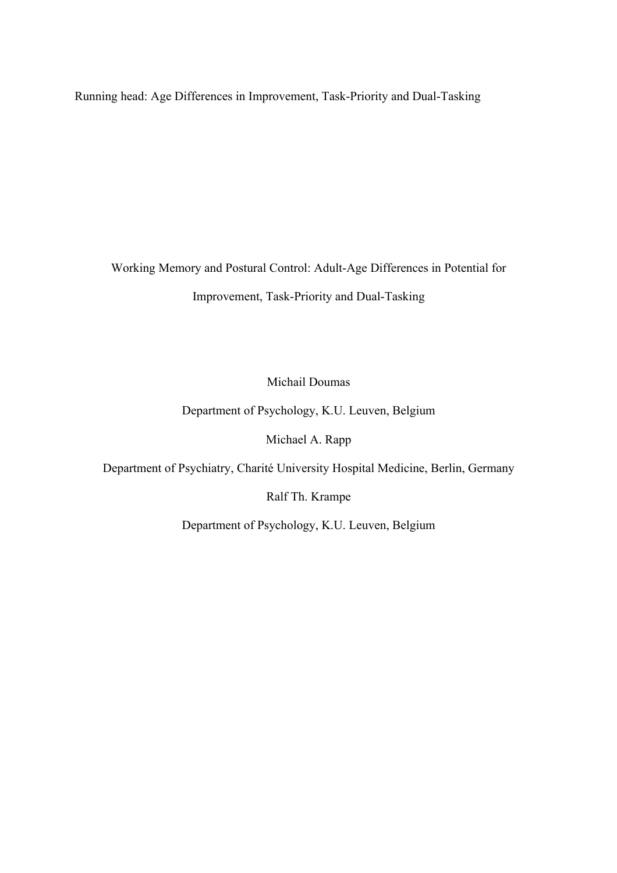Running head: Age Differences in Improvement, Task-Priority and Dual-Tasking

Working Memory and Postural Control: Adult-Age Differences in Potential for Improvement, Task-Priority and Dual-Tasking

Michail Doumas

Department of Psychology, K.U. Leuven, Belgium

Michael A. Rapp

Department of Psychiatry, Charité University Hospital Medicine, Berlin, Germany

Ralf Th. Krampe

Department of Psychology, K.U. Leuven, Belgium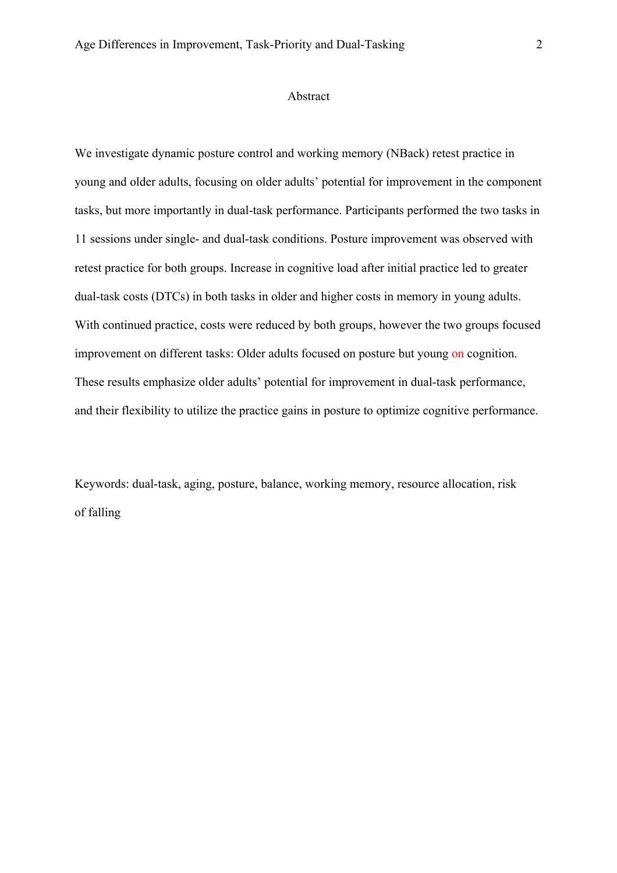#### Abstract

We investigate dynamic posture control and working memory (NBack) retest practice in young and older adults, focusing on older adults' potential for improvement in the component tasks, but more importantly in dual-task performance. Participants performed the two tasks in 11 sessions under single- and dual-task conditions. Posture improvement was observed with retest practice for both groups. Increase in cognitive load after initial practice led to greater dual-task costs (DTCs) in both tasks in older and higher costs in memory in young adults. With continued practice, costs were reduced by both groups, however the two groups focused improvement on different tasks: Older adults focused on posture but young on cognition. These results emphasize older adults' potential for improvement in dual-task performance, and their flexibility to utilize the practice gains in posture to optimize cognitive performance.

Keywords: dual-task, aging, posture, balance, working memory, resource allocation, risk of falling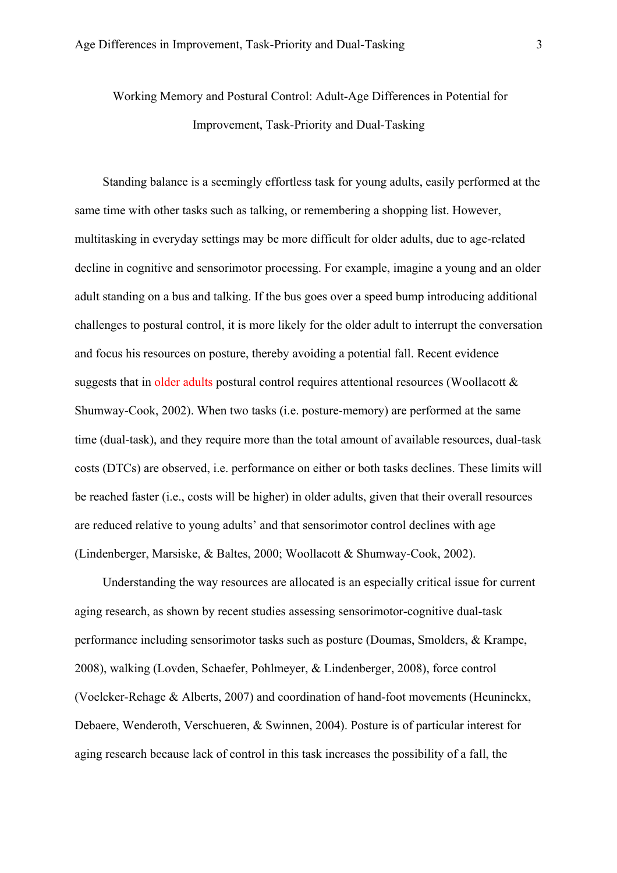Working Memory and Postural Control: Adult-Age Differences in Potential for Improvement, Task-Priority and Dual-Tasking

Standing balance is a seemingly effortless task for young adults, easily performed at the same time with other tasks such as talking, or remembering a shopping list. However, multitasking in everyday settings may be more difficult for older adults, due to age-related decline in cognitive and sensorimotor processing. For example, imagine a young and an older adult standing on a bus and talking. If the bus goes over a speed bump introducing additional challenges to postural control, it is more likely for the older adult to interrupt the conversation and focus his resources on posture, thereby avoiding a potential fall. Recent evidence suggests that in older adults postural control requires attentional resources (Woollacott & Shumway-Cook, 2002). When two tasks (i.e. posture-memory) are performed at the same time (dual-task), and they require more than the total amount of available resources, dual-task costs (DTCs) are observed, i.e. performance on either or both tasks declines. These limits will be reached faster (i.e., costs will be higher) in older adults, given that their overall resources are reduced relative to young adults' and that sensorimotor control declines with age (Lindenberger, Marsiske, & Baltes, 2000; Woollacott & Shumway-Cook, 2002).

Understanding the way resources are allocated is an especially critical issue for current aging research, as shown by recent studies assessing sensorimotor-cognitive dual-task performance including sensorimotor tasks such as posture (Doumas, Smolders, & Krampe, 2008), walking (Lovden, Schaefer, Pohlmeyer, & Lindenberger, 2008), force control (Voelcker-Rehage & Alberts, 2007) and coordination of hand-foot movements (Heuninckx, Debaere, Wenderoth, Verschueren, & Swinnen, 2004). Posture is of particular interest for aging research because lack of control in this task increases the possibility of a fall, the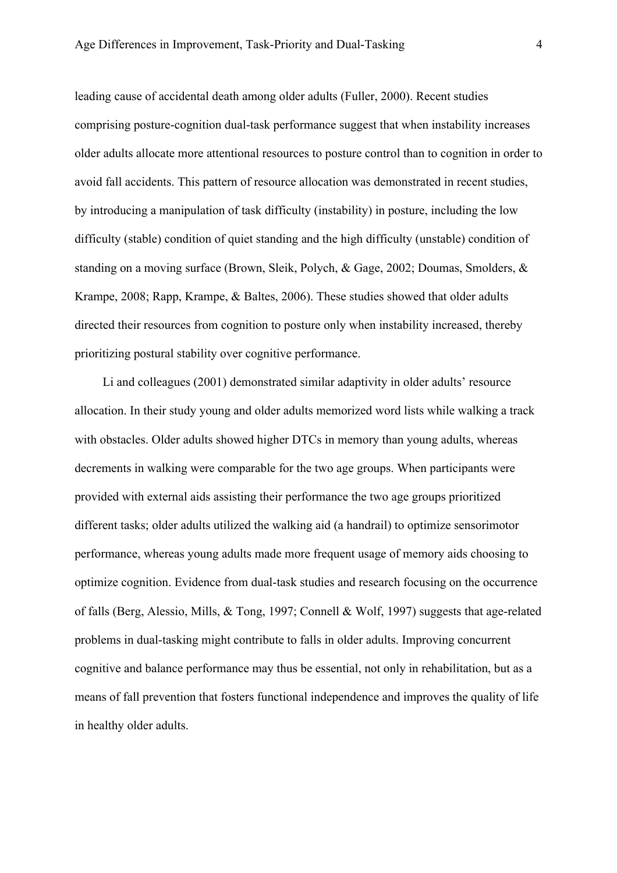leading cause of accidental death among older adults (Fuller, 2000). Recent studies comprising posture-cognition dual-task performance suggest that when instability increases older adults allocate more attentional resources to posture control than to cognition in order to avoid fall accidents. This pattern of resource allocation was demonstrated in recent studies, by introducing a manipulation of task difficulty (instability) in posture, including the low difficulty (stable) condition of quiet standing and the high difficulty (unstable) condition of standing on a moving surface (Brown, Sleik, Polych, & Gage, 2002; Doumas, Smolders, & Krampe, 2008; Rapp, Krampe, & Baltes, 2006). These studies showed that older adults directed their resources from cognition to posture only when instability increased, thereby prioritizing postural stability over cognitive performance.

Li and colleagues (2001) demonstrated similar adaptivity in older adults' resource allocation. In their study young and older adults memorized word lists while walking a track with obstacles. Older adults showed higher DTCs in memory than young adults, whereas decrements in walking were comparable for the two age groups. When participants were provided with external aids assisting their performance the two age groups prioritized different tasks; older adults utilized the walking aid (a handrail) to optimize sensorimotor performance, whereas young adults made more frequent usage of memory aids choosing to optimize cognition. Evidence from dual-task studies and research focusing on the occurrence of falls (Berg, Alessio, Mills, & Tong, 1997; Connell & Wolf, 1997) suggests that age-related problems in dual-tasking might contribute to falls in older adults. Improving concurrent cognitive and balance performance may thus be essential, not only in rehabilitation, but as a means of fall prevention that fosters functional independence and improves the quality of life in healthy older adults.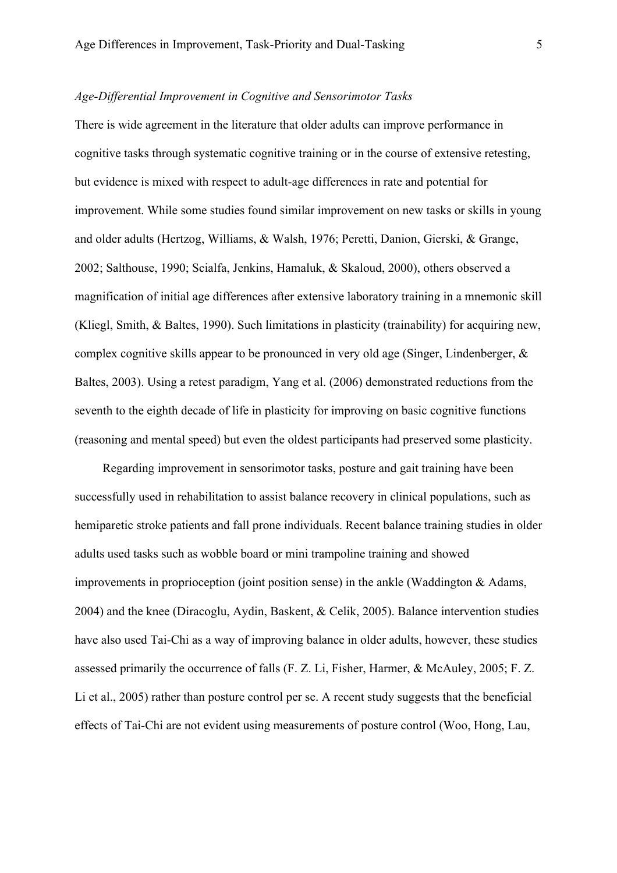### *Age-Differential Improvement in Cognitive and Sensorimotor Tasks*

There is wide agreement in the literature that older adults can improve performance in cognitive tasks through systematic cognitive training or in the course of extensive retesting, but evidence is mixed with respect to adult-age differences in rate and potential for improvement. While some studies found similar improvement on new tasks or skills in young and older adults (Hertzog, Williams, & Walsh, 1976; Peretti, Danion, Gierski, & Grange, 2002; Salthouse, 1990; Scialfa, Jenkins, Hamaluk, & Skaloud, 2000), others observed a magnification of initial age differences after extensive laboratory training in a mnemonic skill (Kliegl, Smith, & Baltes, 1990). Such limitations in plasticity (trainability) for acquiring new, complex cognitive skills appear to be pronounced in very old age (Singer, Lindenberger, & Baltes, 2003). Using a retest paradigm, Yang et al. (2006) demonstrated reductions from the seventh to the eighth decade of life in plasticity for improving on basic cognitive functions (reasoning and mental speed) but even the oldest participants had preserved some plasticity.

Regarding improvement in sensorimotor tasks, posture and gait training have been successfully used in rehabilitation to assist balance recovery in clinical populations, such as hemiparetic stroke patients and fall prone individuals. Recent balance training studies in older adults used tasks such as wobble board or mini trampoline training and showed improvements in proprioception (joint position sense) in the ankle (Waddington & Adams, 2004) and the knee (Diracoglu, Aydin, Baskent, & Celik, 2005). Balance intervention studies have also used Tai-Chi as a way of improving balance in older adults, however, these studies assessed primarily the occurrence of falls (F. Z. Li, Fisher, Harmer, & McAuley, 2005; F. Z. Li et al., 2005) rather than posture control per se. A recent study suggests that the beneficial effects of Tai-Chi are not evident using measurements of posture control (Woo, Hong, Lau,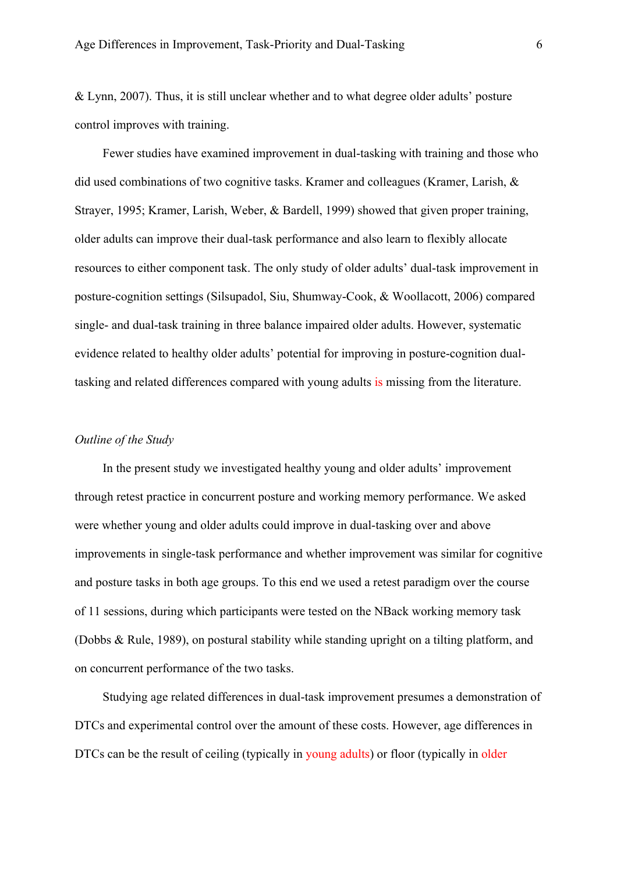& Lynn, 2007). Thus, it is still unclear whether and to what degree older adults' posture control improves with training.

Fewer studies have examined improvement in dual-tasking with training and those who did used combinations of two cognitive tasks. Kramer and colleagues (Kramer, Larish, & Strayer, 1995; Kramer, Larish, Weber, & Bardell, 1999) showed that given proper training, older adults can improve their dual-task performance and also learn to flexibly allocate resources to either component task. The only study of older adults' dual-task improvement in posture-cognition settings (Silsupadol, Siu, Shumway-Cook, & Woollacott, 2006) compared single- and dual-task training in three balance impaired older adults. However, systematic evidence related to healthy older adults' potential for improving in posture-cognition dualtasking and related differences compared with young adults is missing from the literature.

# *Outline of the Study*

In the present study we investigated healthy young and older adults' improvement through retest practice in concurrent posture and working memory performance. We asked were whether young and older adults could improve in dual-tasking over and above improvements in single-task performance and whether improvement was similar for cognitive and posture tasks in both age groups. To this end we used a retest paradigm over the course of 11 sessions, during which participants were tested on the NBack working memory task (Dobbs & Rule, 1989), on postural stability while standing upright on a tilting platform, and on concurrent performance of the two tasks.

Studying age related differences in dual-task improvement presumes a demonstration of DTCs and experimental control over the amount of these costs. However, age differences in DTCs can be the result of ceiling (typically in young adults) or floor (typically in older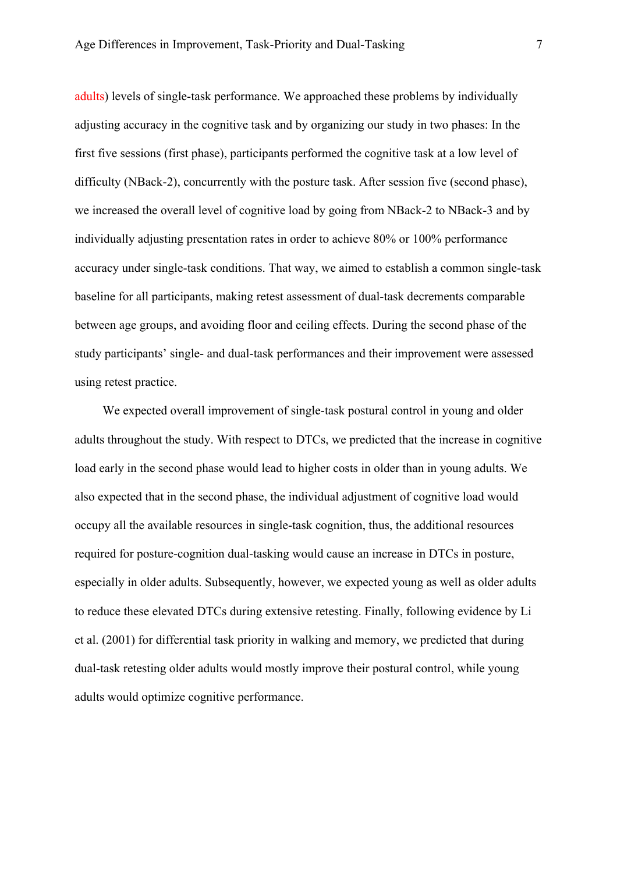adults) levels of single-task performance. We approached these problems by individually adjusting accuracy in the cognitive task and by organizing our study in two phases: In the first five sessions (first phase), participants performed the cognitive task at a low level of difficulty (NBack-2), concurrently with the posture task. After session five (second phase), we increased the overall level of cognitive load by going from NBack-2 to NBack-3 and by individually adjusting presentation rates in order to achieve 80% or 100% performance accuracy under single-task conditions. That way, we aimed to establish a common single-task baseline for all participants, making retest assessment of dual-task decrements comparable between age groups, and avoiding floor and ceiling effects. During the second phase of the study participants' single- and dual-task performances and their improvement were assessed using retest practice.

We expected overall improvement of single-task postural control in young and older adults throughout the study. With respect to DTCs, we predicted that the increase in cognitive load early in the second phase would lead to higher costs in older than in young adults. We also expected that in the second phase, the individual adjustment of cognitive load would occupy all the available resources in single-task cognition, thus, the additional resources required for posture-cognition dual-tasking would cause an increase in DTCs in posture, especially in older adults. Subsequently, however, we expected young as well as older adults to reduce these elevated DTCs during extensive retesting. Finally, following evidence by Li et al. (2001) for differential task priority in walking and memory, we predicted that during dual-task retesting older adults would mostly improve their postural control, while young adults would optimize cognitive performance.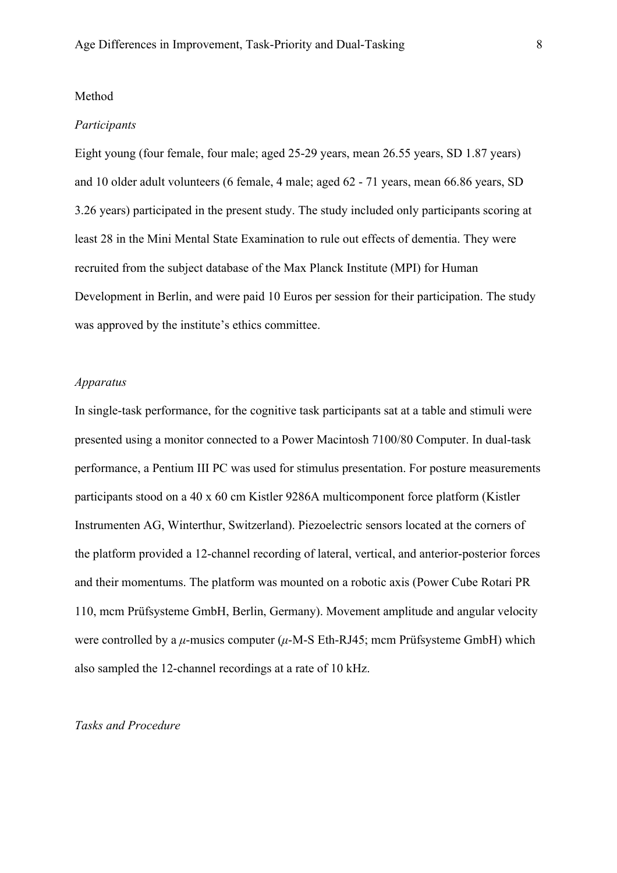#### Method

#### *Participants*

Eight young (four female, four male; aged 25-29 years, mean 26.55 years, SD 1.87 years) and 10 older adult volunteers (6 female, 4 male; aged 62 - 71 years, mean 66.86 years, SD 3.26 years) participated in the present study. The study included only participants scoring at least 28 in the Mini Mental State Examination to rule out effects of dementia. They were recruited from the subject database of the Max Planck Institute (MPI) for Human Development in Berlin, and were paid 10 Euros per session for their participation. The study was approved by the institute's ethics committee.

# *Apparatus*

In single-task performance, for the cognitive task participants sat at a table and stimuli were presented using a monitor connected to a Power Macintosh 7100/80 Computer. In dual-task performance, a Pentium III PC was used for stimulus presentation. For posture measurements participants stood on a 40 x 60 cm Kistler 9286A multicomponent force platform (Kistler Instrumenten AG, Winterthur, Switzerland). Piezoelectric sensors located at the corners of the platform provided a 12-channel recording of lateral, vertical, and anterior-posterior forces and their momentums. The platform was mounted on a robotic axis (Power Cube Rotari PR 110, mcm Prüfsysteme GmbH, Berlin, Germany). Movement amplitude and angular velocity were controlled by a *µ*-musics computer (*µ*-M-S Eth-RJ45; mcm Prüfsysteme GmbH) which also sampled the 12-channel recordings at a rate of 10 kHz.

#### *Tasks and Procedure*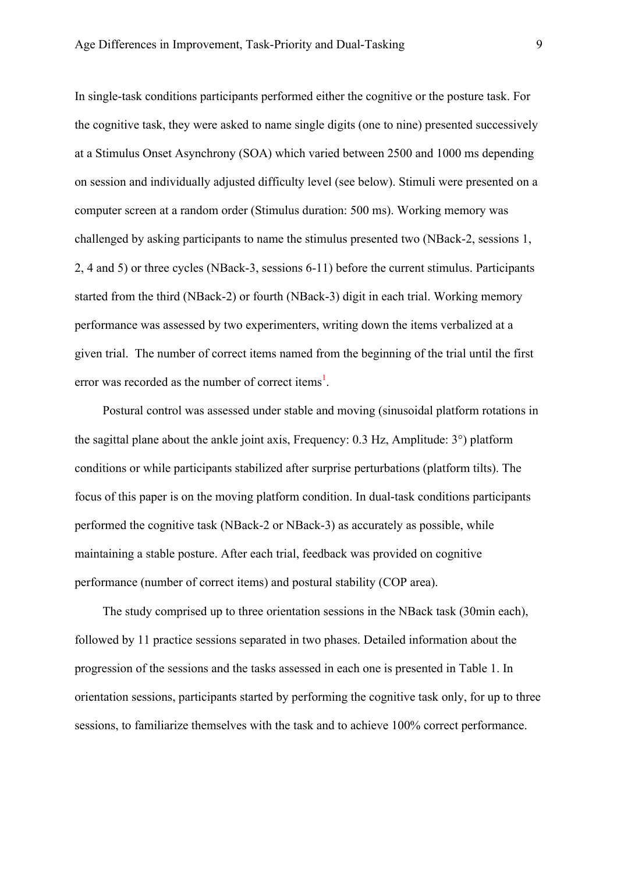In single-task conditions participants performed either the cognitive or the posture task. For the cognitive task, they were asked to name single digits (one to nine) presented successively at a Stimulus Onset Asynchrony (SOA) which varied between 2500 and 1000 ms depending on session and individually adjusted difficulty level (see below). Stimuli were presented on a computer screen at a random order (Stimulus duration: 500 ms). Working memory was challenged by asking participants to name the stimulus presented two (NBack-2, sessions 1, 2, 4 and 5) or three cycles (NBack-3, sessions 6-11) before the current stimulus. Participants started from the third (NBack-2) or fourth (NBack-3) digit in each trial. Working memory performance was assessed by two experimenters, writing down the items verbalized at a given trial. The number of correct items named from the beginning of the trial until the first error was recorded as the number of correct items<sup>1</sup>.

Postural control was assessed under stable and moving (sinusoidal platform rotations in the sagittal plane about the ankle joint axis. Frequency:  $0.3$  Hz, Amplitude:  $3^{\circ}$ ) platform conditions or while participants stabilized after surprise perturbations (platform tilts). The focus of this paper is on the moving platform condition. In dual-task conditions participants performed the cognitive task (NBack-2 or NBack-3) as accurately as possible, while maintaining a stable posture. After each trial, feedback was provided on cognitive performance (number of correct items) and postural stability (COP area).

The study comprised up to three orientation sessions in the NBack task (30min each), followed by 11 practice sessions separated in two phases. Detailed information about the progression of the sessions and the tasks assessed in each one is presented in Table 1. In orientation sessions, participants started by performing the cognitive task only, for up to three sessions, to familiarize themselves with the task and to achieve 100% correct performance.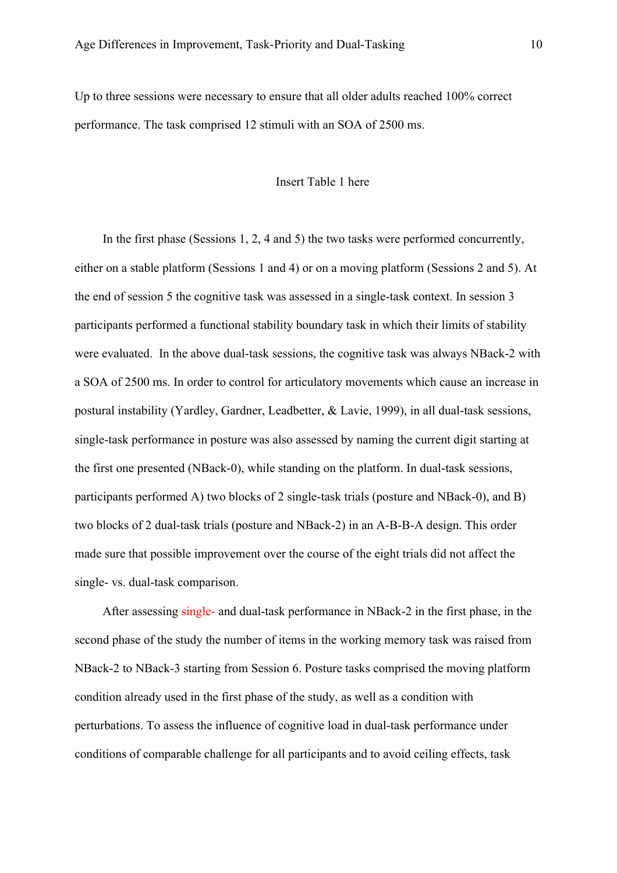Up to three sessions were necessary to ensure that all older adults reached 100% correct performance. The task comprised 12 stimuli with an SOA of 2500 ms.

#### Insert Table 1 here

In the first phase (Sessions 1, 2, 4 and 5) the two tasks were performed concurrently, either on a stable platform (Sessions 1 and 4) or on a moving platform (Sessions 2 and 5). At the end of session 5 the cognitive task was assessed in a single-task context. In session 3 participants performed a functional stability boundary task in which their limits of stability were evaluated. In the above dual-task sessions, the cognitive task was always NBack-2 with a SOA of 2500 ms. In order to control for articulatory movements which cause an increase in postural instability (Yardley, Gardner, Leadbetter, & Lavie, 1999), in all dual-task sessions, single-task performance in posture was also assessed by naming the current digit starting at the first one presented (NBack-0), while standing on the platform. In dual-task sessions, participants performed A) two blocks of 2 single-task trials (posture and NBack-0), and B) two blocks of 2 dual-task trials (posture and NBack-2) in an A-B-B-A design. This order made sure that possible improvement over the course of the eight trials did not affect the single- vs. dual-task comparison.

After assessing single- and dual-task performance in NBack-2 in the first phase, in the second phase of the study the number of items in the working memory task was raised from NBack-2 to NBack-3 starting from Session 6. Posture tasks comprised the moving platform condition already used in the first phase of the study, as well as a condition with perturbations. To assess the influence of cognitive load in dual-task performance under conditions of comparable challenge for all participants and to avoid ceiling effects, task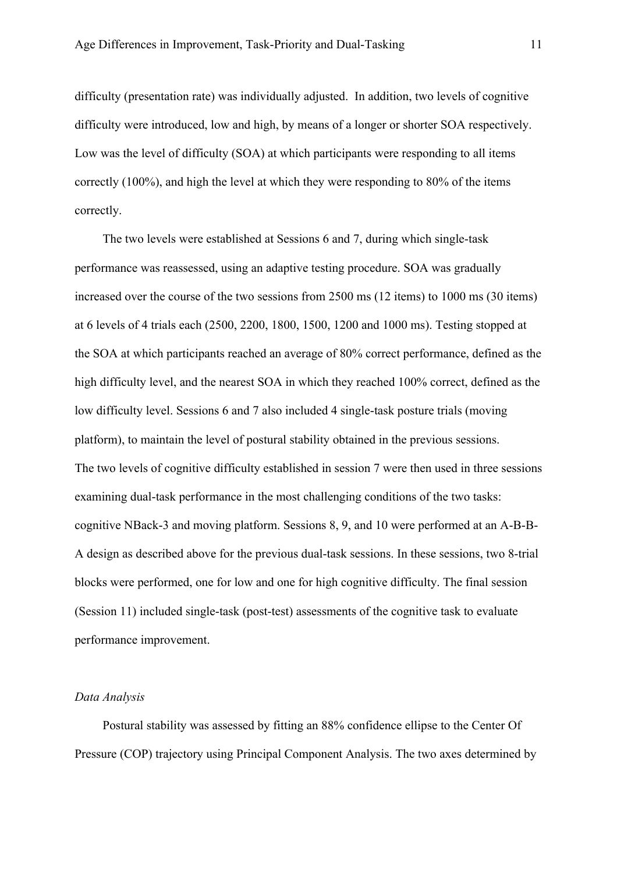difficulty (presentation rate) was individually adjusted. In addition, two levels of cognitive difficulty were introduced, low and high, by means of a longer or shorter SOA respectively. Low was the level of difficulty (SOA) at which participants were responding to all items correctly (100%), and high the level at which they were responding to 80% of the items correctly.

The two levels were established at Sessions 6 and 7, during which single-task performance was reassessed, using an adaptive testing procedure. SOA was gradually increased over the course of the two sessions from 2500 ms (12 items) to 1000 ms (30 items) at 6 levels of 4 trials each (2500, 2200, 1800, 1500, 1200 and 1000 ms). Testing stopped at the SOA at which participants reached an average of 80% correct performance, defined as the high difficulty level, and the nearest SOA in which they reached 100% correct, defined as the low difficulty level. Sessions 6 and 7 also included 4 single-task posture trials (moving platform), to maintain the level of postural stability obtained in the previous sessions. The two levels of cognitive difficulty established in session 7 were then used in three sessions examining dual-task performance in the most challenging conditions of the two tasks: cognitive NBack-3 and moving platform. Sessions 8, 9, and 10 were performed at an A-B-B-A design as described above for the previous dual-task sessions. In these sessions, two 8-trial blocks were performed, one for low and one for high cognitive difficulty. The final session (Session 11) included single-task (post-test) assessments of the cognitive task to evaluate performance improvement.

# *Data Analysis*

Postural stability was assessed by fitting an 88% confidence ellipse to the Center Of Pressure (COP) trajectory using Principal Component Analysis. The two axes determined by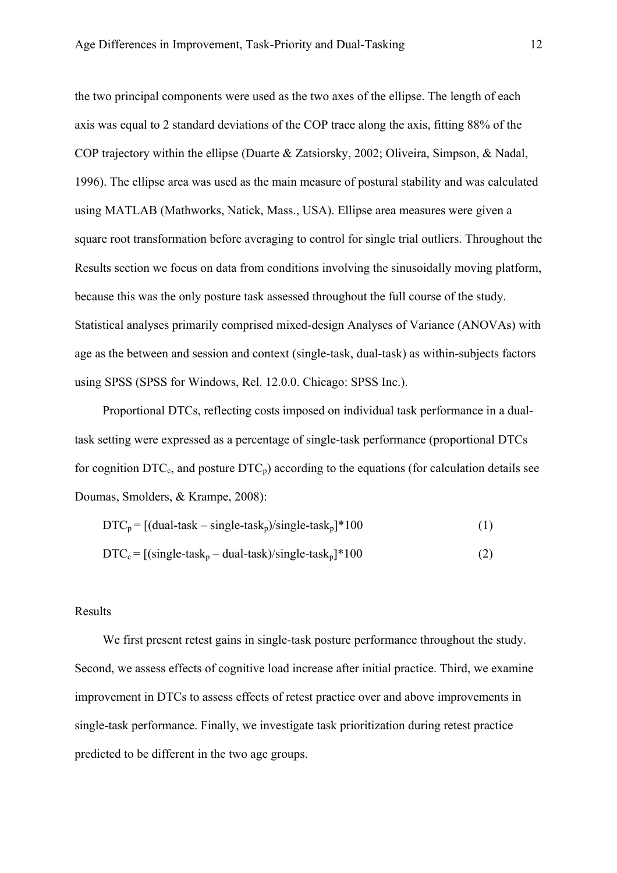the two principal components were used as the two axes of the ellipse. The length of each axis was equal to 2 standard deviations of the COP trace along the axis, fitting 88% of the COP trajectory within the ellipse (Duarte & Zatsiorsky, 2002; Oliveira, Simpson, & Nadal, 1996). The ellipse area was used as the main measure of postural stability and was calculated using MATLAB (Mathworks, Natick, Mass., USA). Ellipse area measures were given a square root transformation before averaging to control for single trial outliers. Throughout the Results section we focus on data from conditions involving the sinusoidally moving platform, because this was the only posture task assessed throughout the full course of the study. Statistical analyses primarily comprised mixed-design Analyses of Variance (ANOVAs) with age as the between and session and context (single-task, dual-task) as within-subjects factors using SPSS (SPSS for Windows, Rel. 12.0.0. Chicago: SPSS Inc.).

Proportional DTCs, reflecting costs imposed on individual task performance in a dualtask setting were expressed as a percentage of single-task performance (proportional DTCs for cognition  $\text{DTC}_c$ , and posture  $\text{DTC}_p$ ) according to the equations (for calculation details see Doumas, Smolders, & Krampe, 2008):

$$
DTC_p = [(dual-task - single-task_p)/single-task_p]^*100
$$
\n
$$
DTC_c = [(single-task_p - dual-task)/single-task_p]^*100
$$
\n(1)

#### Results

We first present retest gains in single-task posture performance throughout the study. Second, we assess effects of cognitive load increase after initial practice. Third, we examine improvement in DTCs to assess effects of retest practice over and above improvements in single-task performance. Finally, we investigate task prioritization during retest practice predicted to be different in the two age groups.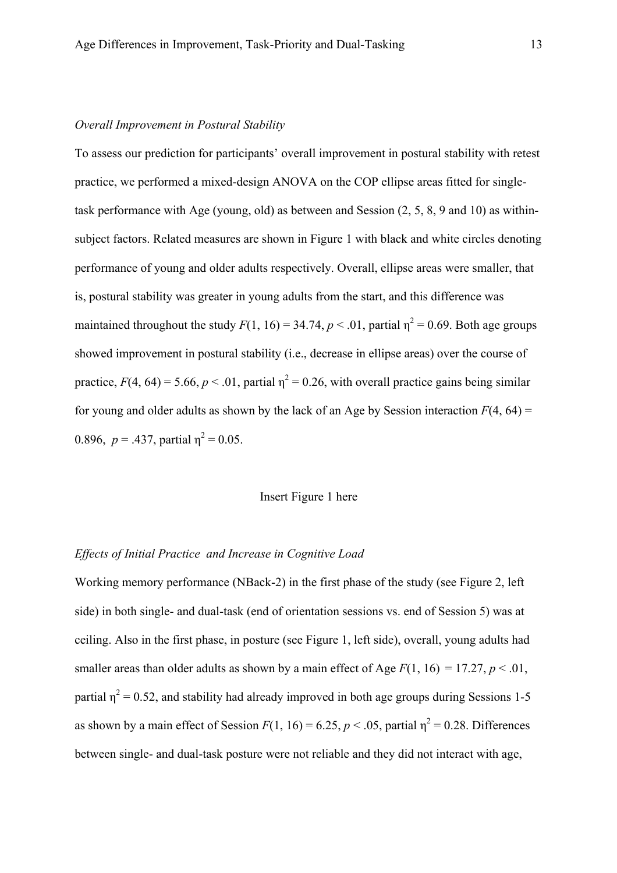# *Overall Improvement in Postural Stability*

To assess our prediction for participants' overall improvement in postural stability with retest practice, we performed a mixed-design ANOVA on the COP ellipse areas fitted for singletask performance with Age (young, old) as between and Session (2, 5, 8, 9 and 10) as withinsubject factors. Related measures are shown in Figure 1 with black and white circles denoting performance of young and older adults respectively. Overall, ellipse areas were smaller, that is, postural stability was greater in young adults from the start, and this difference was maintained throughout the study  $F(1, 16) = 34.74$ ,  $p < .01$ , partial  $\eta^2 = 0.69$ . Both age groups showed improvement in postural stability (i.e., decrease in ellipse areas) over the course of practice,  $F(4, 64) = 5.66$ ,  $p < .01$ , partial  $\eta^2 = 0.26$ , with overall practice gains being similar for young and older adults as shown by the lack of an Age by Session interaction  $F(4, 64) =$ 0.896,  $p = 0.437$ , partial  $\eta^2 = 0.05$ .

# Insert Figure 1 here

#### *Effects of Initial Practice and Increase in Cognitive Load*

Working memory performance (NBack-2) in the first phase of the study (see Figure 2, left side) in both single- and dual-task (end of orientation sessions vs. end of Session 5) was at ceiling. Also in the first phase, in posture (see Figure 1, left side), overall, young adults had smaller areas than older adults as shown by a main effect of Age  $F(1, 16) = 17.27$ ,  $p < .01$ , partial  $\eta^2 = 0.52$ , and stability had already improved in both age groups during Sessions 1-5 as shown by a main effect of Session  $F(1, 16) = 6.25$ ,  $p < .05$ , partial  $\eta^2 = 0.28$ . Differences between single- and dual-task posture were not reliable and they did not interact with age,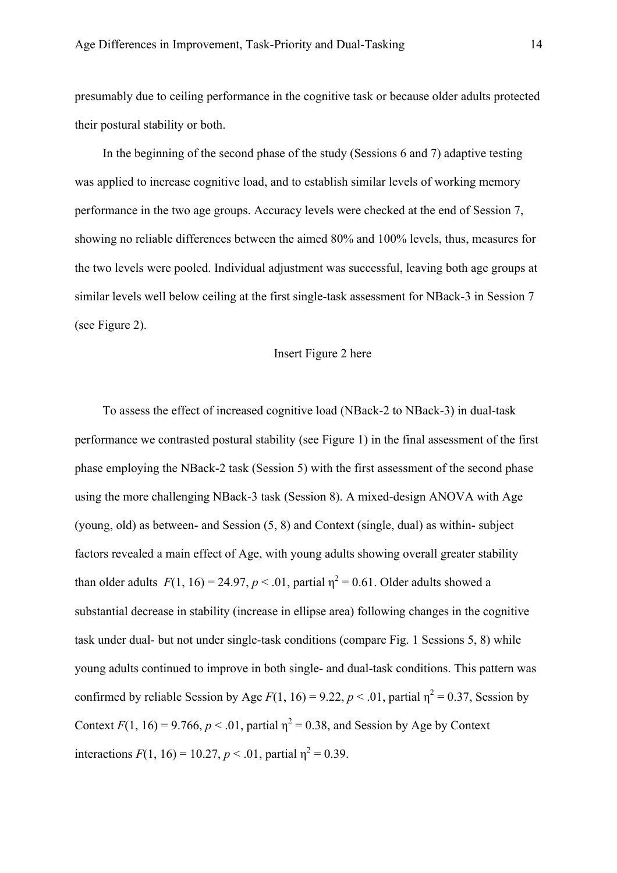presumably due to ceiling performance in the cognitive task or because older adults protected their postural stability or both.

In the beginning of the second phase of the study (Sessions 6 and 7) adaptive testing was applied to increase cognitive load, and to establish similar levels of working memory performance in the two age groups. Accuracy levels were checked at the end of Session 7, showing no reliable differences between the aimed 80% and 100% levels, thus, measures for the two levels were pooled. Individual adjustment was successful, leaving both age groups at similar levels well below ceiling at the first single-task assessment for NBack-3 in Session 7 (see Figure 2).

# Insert Figure 2 here

To assess the effect of increased cognitive load (NBack-2 to NBack-3) in dual-task performance we contrasted postural stability (see Figure 1) in the final assessment of the first phase employing the NBack-2 task (Session 5) with the first assessment of the second phase using the more challenging NBack-3 task (Session 8). A mixed-design ANOVA with Age (young, old) as between- and Session (5, 8) and Context (single, dual) as within- subject factors revealed a main effect of Age, with young adults showing overall greater stability than older adults  $F(1, 16) = 24.97$ ,  $p < .01$ , partial  $\eta^2 = 0.61$ . Older adults showed a substantial decrease in stability (increase in ellipse area) following changes in the cognitive task under dual- but not under single-task conditions (compare Fig. 1 Sessions 5, 8) while young adults continued to improve in both single- and dual-task conditions. This pattern was confirmed by reliable Session by Age  $F(1, 16) = 9.22$ ,  $p < .01$ , partial  $\eta^2 = 0.37$ , Session by Context  $F(1, 16) = 9.766$ ,  $p < .01$ , partial  $\eta^2 = 0.38$ , and Session by Age by Context interactions  $F(1, 16) = 10.27, p < .01$ , partial  $\eta^2 = 0.39$ .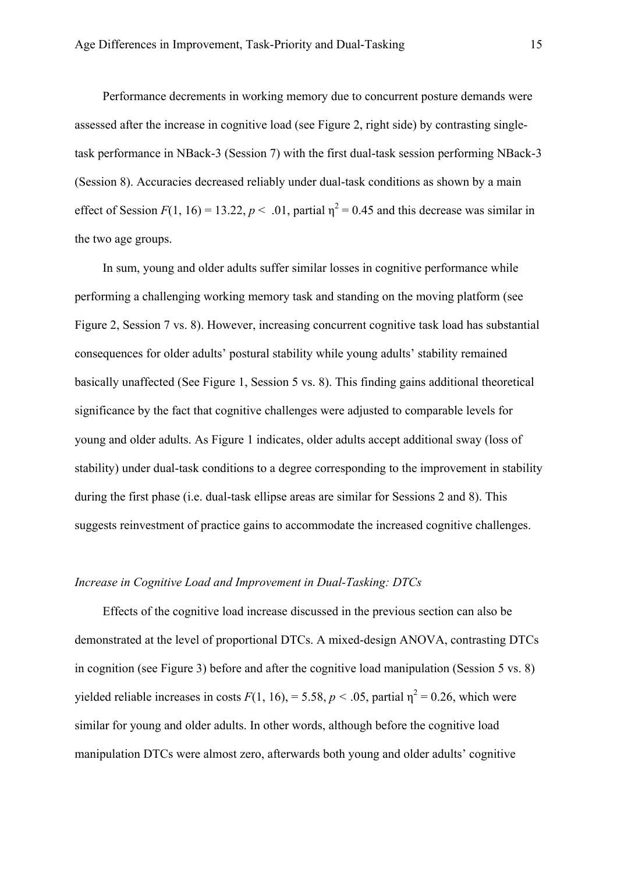Performance decrements in working memory due to concurrent posture demands were assessed after the increase in cognitive load (see Figure 2, right side) by contrasting singletask performance in NBack-3 (Session 7) with the first dual-task session performing NBack-3 (Session 8). Accuracies decreased reliably under dual-task conditions as shown by a main effect of Session  $F(1, 16) = 13.22$ ,  $p < .01$ , partial  $\eta^2 = 0.45$  and this decrease was similar in the two age groups.

In sum, young and older adults suffer similar losses in cognitive performance while performing a challenging working memory task and standing on the moving platform (see Figure 2, Session 7 vs. 8). However, increasing concurrent cognitive task load has substantial consequences for older adults' postural stability while young adults' stability remained basically unaffected (See Figure 1, Session 5 vs. 8). This finding gains additional theoretical significance by the fact that cognitive challenges were adjusted to comparable levels for young and older adults. As Figure 1 indicates, older adults accept additional sway (loss of stability) under dual-task conditions to a degree corresponding to the improvement in stability during the first phase (i.e. dual-task ellipse areas are similar for Sessions 2 and 8). This suggests reinvestment of practice gains to accommodate the increased cognitive challenges.

#### *Increase in Cognitive Load and Improvement in Dual-Tasking: DTCs*

Effects of the cognitive load increase discussed in the previous section can also be demonstrated at the level of proportional DTCs. A mixed-design ANOVA, contrasting DTCs in cognition (see Figure 3) before and after the cognitive load manipulation (Session 5 vs. 8) yielded reliable increases in costs  $F(1, 16)$ , = 5.58,  $p < .05$ , partial  $\eta^2 = 0.26$ , which were similar for young and older adults. In other words, although before the cognitive load manipulation DTCs were almost zero, afterwards both young and older adults' cognitive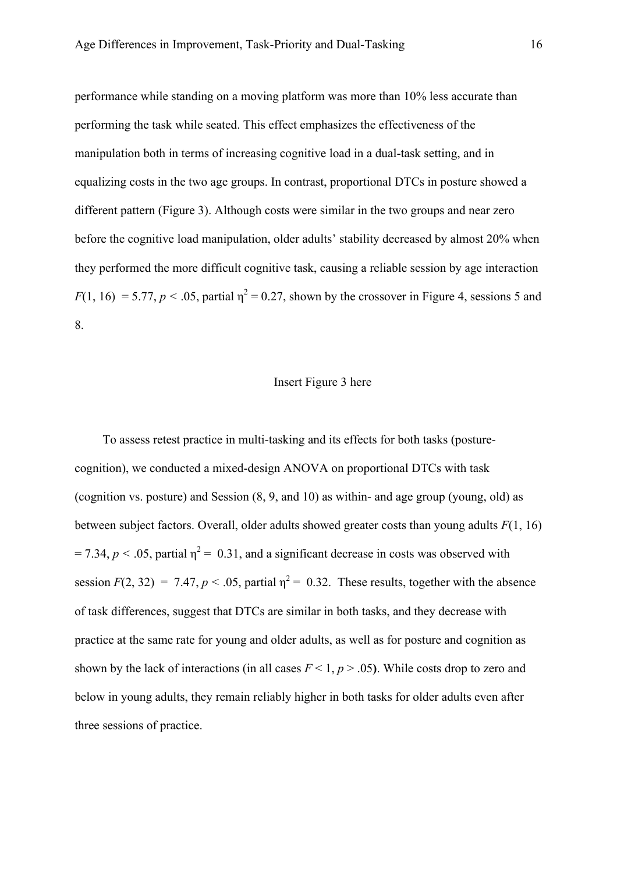performance while standing on a moving platform was more than 10% less accurate than performing the task while seated. This effect emphasizes the effectiveness of the manipulation both in terms of increasing cognitive load in a dual-task setting, and in equalizing costs in the two age groups. In contrast, proportional DTCs in posture showed a different pattern (Figure 3). Although costs were similar in the two groups and near zero before the cognitive load manipulation, older adults' stability decreased by almost 20% when they performed the more difficult cognitive task, causing a reliable session by age interaction  $F(1, 16) = 5.77$ ,  $p < .05$ , partial  $\eta^2 = 0.27$ , shown by the crossover in Figure 4, sessions 5 and 8.

# Insert Figure 3 here

To assess retest practice in multi-tasking and its effects for both tasks (posturecognition), we conducted a mixed-design ANOVA on proportional DTCs with task (cognition vs. posture) and Session (8, 9, and 10) as within- and age group (young, old) as between subject factors. Overall, older adults showed greater costs than young adults *F*(1, 16)  $= 7.34, p < .05$ , partial  $\eta^2 = 0.31$ , and a significant decrease in costs was observed with session  $F(2, 32) = 7.47$ ,  $p < .05$ , partial  $\eta^2 = 0.32$ . These results, together with the absence of task differences, suggest that DTCs are similar in both tasks, and they decrease with practice at the same rate for young and older adults, as well as for posture and cognition as shown by the lack of interactions (in all cases  $F < 1$ ,  $p > .05$ ). While costs drop to zero and below in young adults, they remain reliably higher in both tasks for older adults even after three sessions of practice.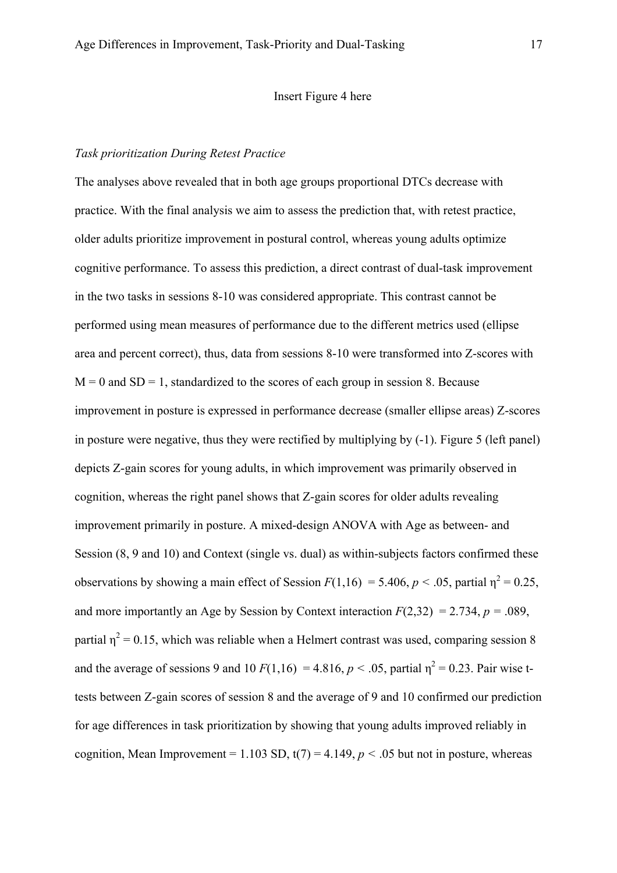#### Insert Figure 4 here

# *Task prioritization During Retest Practice*

The analyses above revealed that in both age groups proportional DTCs decrease with practice. With the final analysis we aim to assess the prediction that, with retest practice, older adults prioritize improvement in postural control, whereas young adults optimize cognitive performance. To assess this prediction, a direct contrast of dual-task improvement in the two tasks in sessions 8-10 was considered appropriate. This contrast cannot be performed using mean measures of performance due to the different metrics used (ellipse area and percent correct), thus, data from sessions 8-10 were transformed into Z-scores with  $M = 0$  and  $SD = 1$ , standardized to the scores of each group in session 8. Because improvement in posture is expressed in performance decrease (smaller ellipse areas) Z-scores in posture were negative, thus they were rectified by multiplying by (-1). Figure 5 (left panel) depicts Z-gain scores for young adults, in which improvement was primarily observed in cognition, whereas the right panel shows that Z-gain scores for older adults revealing improvement primarily in posture. A mixed-design ANOVA with Age as between- and Session (8, 9 and 10) and Context (single vs. dual) as within-subjects factors confirmed these observations by showing a main effect of Session  $F(1,16) = 5.406$ ,  $p < .05$ , partial  $\eta^2 = 0.25$ , and more importantly an Age by Session by Context interaction  $F(2,32) = 2.734$ ,  $p = .089$ , partial  $\eta^2$  = 0.15, which was reliable when a Helmert contrast was used, comparing session 8 and the average of sessions 9 and 10  $F(1,16) = 4.816$ ,  $p < .05$ , partial  $\eta^2 = 0.23$ . Pair wise ttests between Z-gain scores of session 8 and the average of 9 and 10 confirmed our prediction for age differences in task prioritization by showing that young adults improved reliably in cognition, Mean Improvement =  $1.103$  SD,  $t(7) = 4.149$ ,  $p < .05$  but not in posture, whereas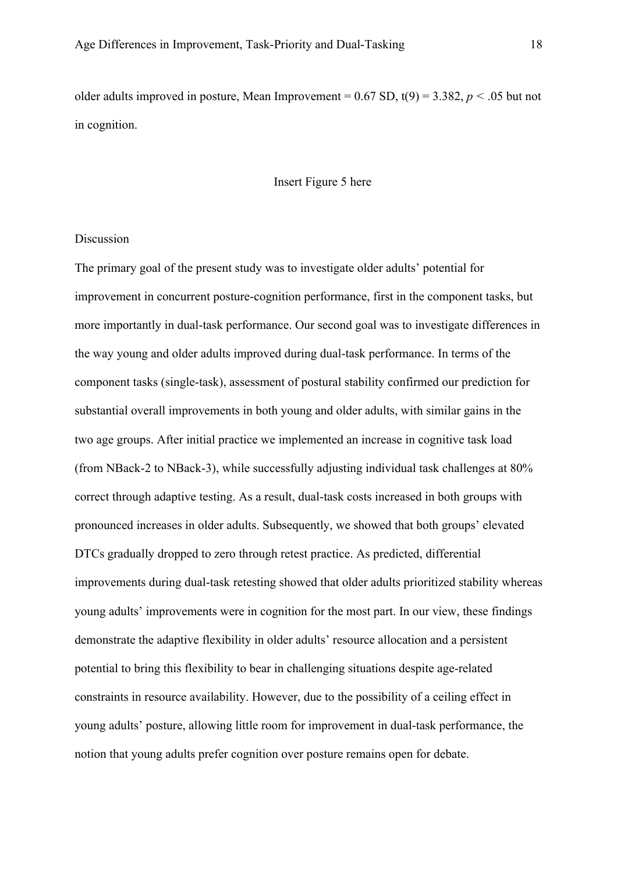older adults improved in posture, Mean Improvement =  $0.67$  SD,  $t(9) = 3.382$ ,  $p < .05$  but not in cognition.

### Insert Figure 5 here

# Discussion

The primary goal of the present study was to investigate older adults' potential for improvement in concurrent posture-cognition performance, first in the component tasks, but more importantly in dual-task performance. Our second goal was to investigate differences in the way young and older adults improved during dual-task performance. In terms of the component tasks (single-task), assessment of postural stability confirmed our prediction for substantial overall improvements in both young and older adults, with similar gains in the two age groups. After initial practice we implemented an increase in cognitive task load (from NBack-2 to NBack-3), while successfully adjusting individual task challenges at 80% correct through adaptive testing. As a result, dual-task costs increased in both groups with pronounced increases in older adults. Subsequently, we showed that both groups' elevated DTCs gradually dropped to zero through retest practice. As predicted, differential improvements during dual-task retesting showed that older adults prioritized stability whereas young adults' improvements were in cognition for the most part. In our view, these findings demonstrate the adaptive flexibility in older adults' resource allocation and a persistent potential to bring this flexibility to bear in challenging situations despite age-related constraints in resource availability. However, due to the possibility of a ceiling effect in young adults' posture, allowing little room for improvement in dual-task performance, the notion that young adults prefer cognition over posture remains open for debate.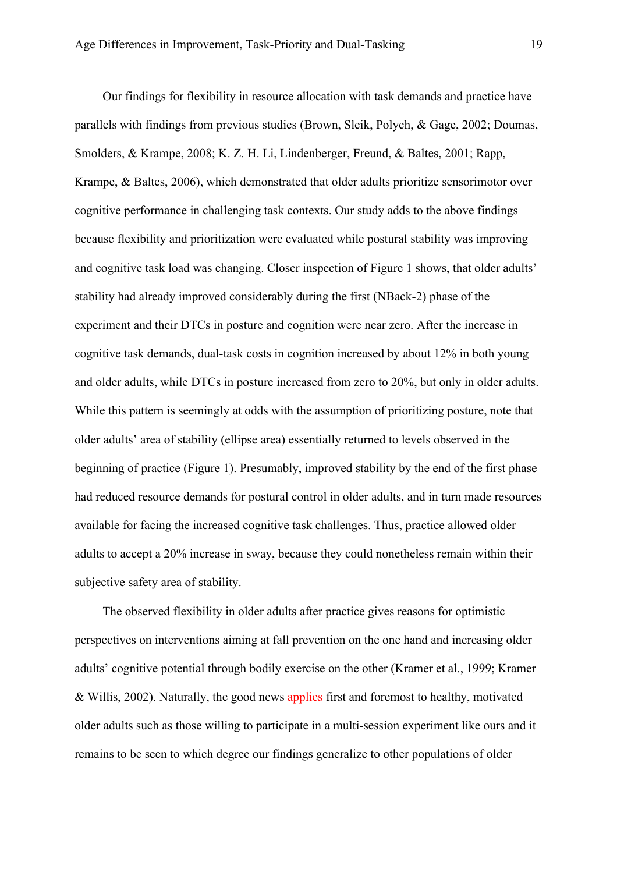Our findings for flexibility in resource allocation with task demands and practice have parallels with findings from previous studies (Brown, Sleik, Polych, & Gage, 2002; Doumas, Smolders, & Krampe, 2008; K. Z. H. Li, Lindenberger, Freund, & Baltes, 2001; Rapp, Krampe, & Baltes, 2006), which demonstrated that older adults prioritize sensorimotor over cognitive performance in challenging task contexts. Our study adds to the above findings because flexibility and prioritization were evaluated while postural stability was improving and cognitive task load was changing. Closer inspection of Figure 1 shows, that older adults' stability had already improved considerably during the first (NBack-2) phase of the experiment and their DTCs in posture and cognition were near zero. After the increase in cognitive task demands, dual-task costs in cognition increased by about 12% in both young and older adults, while DTCs in posture increased from zero to 20%, but only in older adults. While this pattern is seemingly at odds with the assumption of prioritizing posture, note that older adults' area of stability (ellipse area) essentially returned to levels observed in the beginning of practice (Figure 1). Presumably, improved stability by the end of the first phase had reduced resource demands for postural control in older adults, and in turn made resources available for facing the increased cognitive task challenges. Thus, practice allowed older adults to accept a 20% increase in sway, because they could nonetheless remain within their subjective safety area of stability.

The observed flexibility in older adults after practice gives reasons for optimistic perspectives on interventions aiming at fall prevention on the one hand and increasing older adults' cognitive potential through bodily exercise on the other (Kramer et al., 1999; Kramer & Willis, 2002). Naturally, the good news applies first and foremost to healthy, motivated older adults such as those willing to participate in a multi-session experiment like ours and it remains to be seen to which degree our findings generalize to other populations of older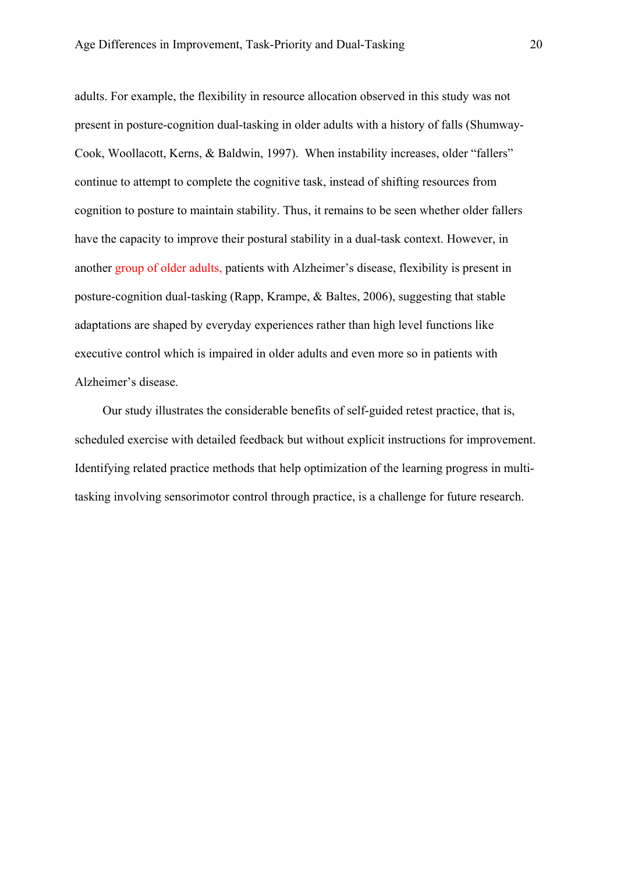adults. For example, the flexibility in resource allocation observed in this study was not present in posture-cognition dual-tasking in older adults with a history of falls (Shumway-Cook, Woollacott, Kerns, & Baldwin, 1997). When instability increases, older "fallers" continue to attempt to complete the cognitive task, instead of shifting resources from cognition to posture to maintain stability. Thus, it remains to be seen whether older fallers have the capacity to improve their postural stability in a dual-task context. However, in another group of older adults, patients with Alzheimer's disease, flexibility is present in posture-cognition dual-tasking (Rapp, Krampe, & Baltes, 2006), suggesting that stable adaptations are shaped by everyday experiences rather than high level functions like executive control which is impaired in older adults and even more so in patients with Alzheimer's disease.

Our study illustrates the considerable benefits of self-guided retest practice, that is, scheduled exercise with detailed feedback but without explicit instructions for improvement. Identifying related practice methods that help optimization of the learning progress in multitasking involving sensorimotor control through practice, is a challenge for future research.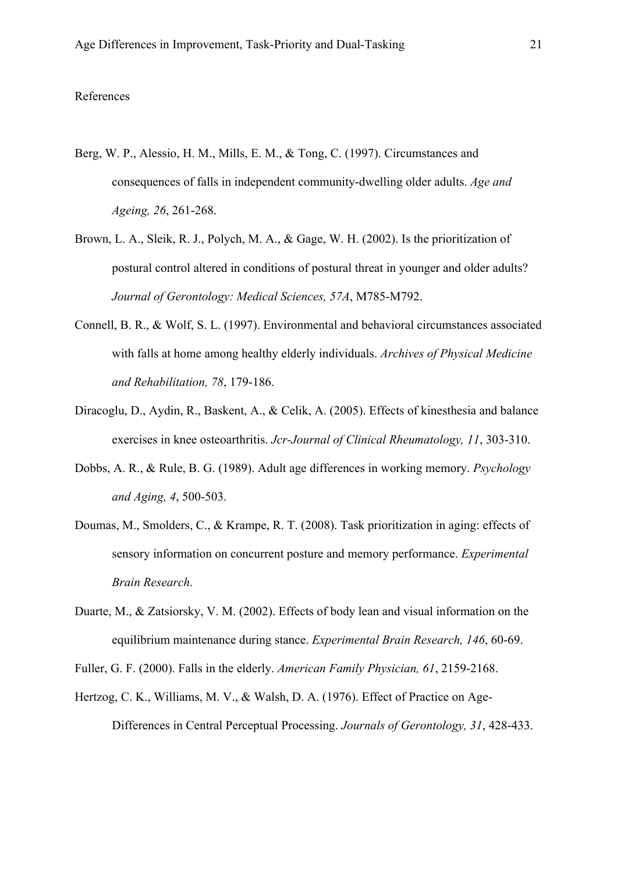### References

- Berg, W. P., Alessio, H. M., Mills, E. M., & Tong, C. (1997). Circumstances and consequences of falls in independent community-dwelling older adults. *Age and Ageing, 26*, 261-268.
- Brown, L. A., Sleik, R. J., Polych, M. A., & Gage, W. H. (2002). Is the prioritization of postural control altered in conditions of postural threat in younger and older adults? *Journal of Gerontology: Medical Sciences, 57A*, M785-M792.
- Connell, B. R., & Wolf, S. L. (1997). Environmental and behavioral circumstances associated with falls at home among healthy elderly individuals. *Archives of Physical Medicine and Rehabilitation, 78*, 179-186.
- Diracoglu, D., Aydin, R., Baskent, A., & Celik, A. (2005). Effects of kinesthesia and balance exercises in knee osteoarthritis. *Jcr-Journal of Clinical Rheumatology, 11*, 303-310.
- Dobbs, A. R., & Rule, B. G. (1989). Adult age differences in working memory. *Psychology and Aging, 4*, 500-503.
- Doumas, M., Smolders, C., & Krampe, R. T. (2008). Task prioritization in aging: effects of sensory information on concurrent posture and memory performance. *Experimental Brain Research*.
- Duarte, M., & Zatsiorsky, V. M. (2002). Effects of body lean and visual information on the equilibrium maintenance during stance. *Experimental Brain Research, 146*, 60-69.
- Fuller, G. F. (2000). Falls in the elderly. *American Family Physician, 61*, 2159-2168.
- Hertzog, C. K., Williams, M. V., & Walsh, D. A. (1976). Effect of Practice on Age-Differences in Central Perceptual Processing. *Journals of Gerontology, 31*, 428-433.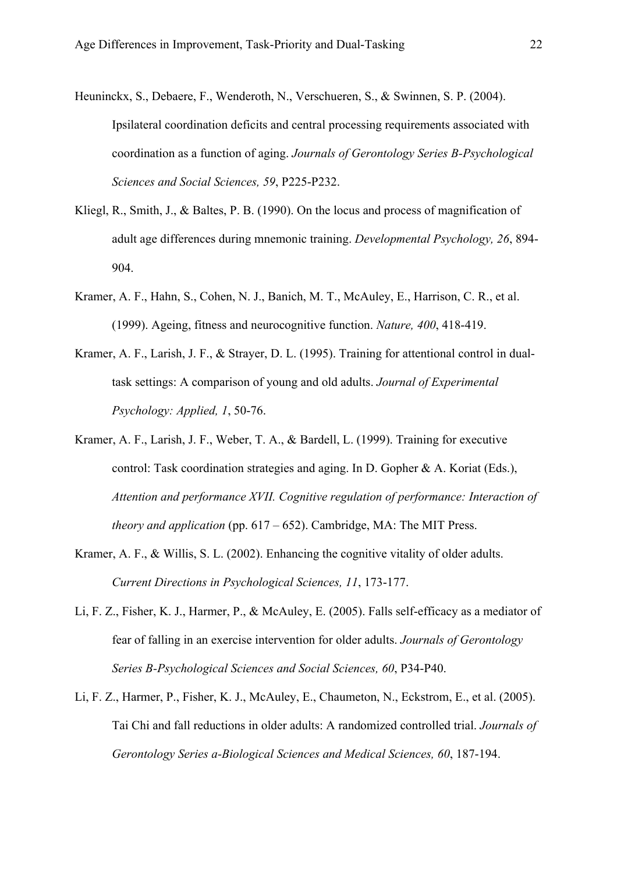- Heuninckx, S., Debaere, F., Wenderoth, N., Verschueren, S., & Swinnen, S. P. (2004). Ipsilateral coordination deficits and central processing requirements associated with coordination as a function of aging. *Journals of Gerontology Series B-Psychological Sciences and Social Sciences, 59*, P225-P232.
- Kliegl, R., Smith, J., & Baltes, P. B. (1990). On the locus and process of magnification of adult age differences during mnemonic training. *Developmental Psychology, 26*, 894- 904.
- Kramer, A. F., Hahn, S., Cohen, N. J., Banich, M. T., McAuley, E., Harrison, C. R., et al. (1999). Ageing, fitness and neurocognitive function. *Nature, 400*, 418-419.
- Kramer, A. F., Larish, J. F., & Strayer, D. L. (1995). Training for attentional control in dualtask settings: A comparison of young and old adults. *Journal of Experimental Psychology: Applied, 1*, 50-76.
- Kramer, A. F., Larish, J. F., Weber, T. A., & Bardell, L. (1999). Training for executive control: Task coordination strategies and aging. In D. Gopher & A. Koriat (Eds.), *Attention and performance XVII. Cognitive regulation of performance: Interaction of theory and application* (pp. 617 – 652). Cambridge, MA: The MIT Press.
- Kramer, A. F., & Willis, S. L. (2002). Enhancing the cognitive vitality of older adults. *Current Directions in Psychological Sciences, 11*, 173-177.
- Li, F. Z., Fisher, K. J., Harmer, P., & McAuley, E. (2005). Falls self-efficacy as a mediator of fear of falling in an exercise intervention for older adults. *Journals of Gerontology Series B-Psychological Sciences and Social Sciences, 60*, P34-P40.
- Li, F. Z., Harmer, P., Fisher, K. J., McAuley, E., Chaumeton, N., Eckstrom, E., et al. (2005). Tai Chi and fall reductions in older adults: A randomized controlled trial. *Journals of Gerontology Series a-Biological Sciences and Medical Sciences, 60*, 187-194.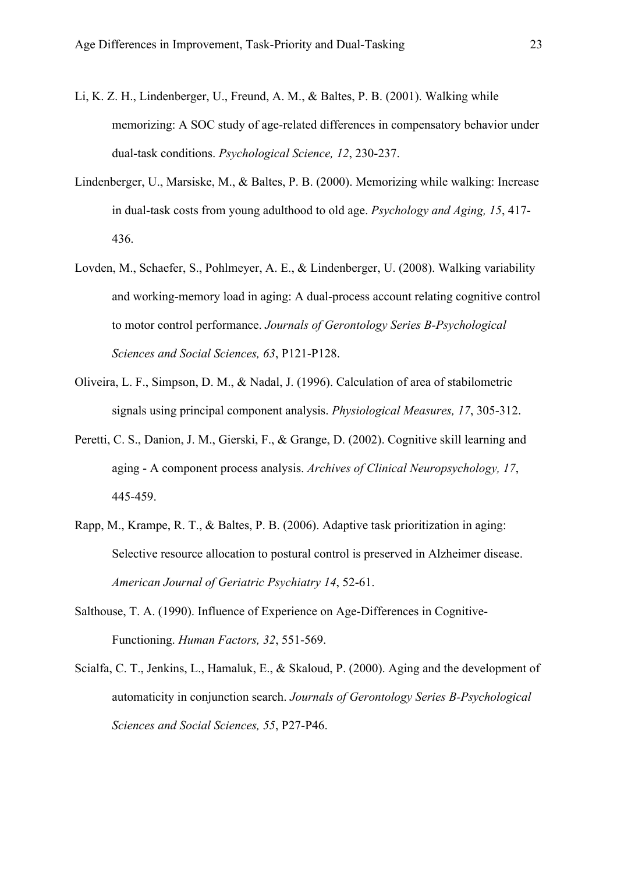- Li, K. Z. H., Lindenberger, U., Freund, A. M., & Baltes, P. B. (2001). Walking while memorizing: A SOC study of age-related differences in compensatory behavior under dual-task conditions. *Psychological Science, 12*, 230-237.
- Lindenberger, U., Marsiske, M., & Baltes, P. B. (2000). Memorizing while walking: Increase in dual-task costs from young adulthood to old age. *Psychology and Aging, 15*, 417- 436.
- Lovden, M., Schaefer, S., Pohlmeyer, A. E., & Lindenberger, U. (2008). Walking variability and working-memory load in aging: A dual-process account relating cognitive control to motor control performance. *Journals of Gerontology Series B-Psychological Sciences and Social Sciences, 63*, P121-P128.
- Oliveira, L. F., Simpson, D. M., & Nadal, J. (1996). Calculation of area of stabilometric signals using principal component analysis. *Physiological Measures, 17*, 305-312.
- Peretti, C. S., Danion, J. M., Gierski, F., & Grange, D. (2002). Cognitive skill learning and aging - A component process analysis. *Archives of Clinical Neuropsychology, 17*, 445-459.
- Rapp, M., Krampe, R. T., & Baltes, P. B. (2006). Adaptive task prioritization in aging: Selective resource allocation to postural control is preserved in Alzheimer disease. *American Journal of Geriatric Psychiatry 14*, 52-61.
- Salthouse, T. A. (1990). Influence of Experience on Age-Differences in Cognitive-Functioning. *Human Factors, 32*, 551-569.
- Scialfa, C. T., Jenkins, L., Hamaluk, E., & Skaloud, P. (2000). Aging and the development of automaticity in conjunction search. *Journals of Gerontology Series B-Psychological Sciences and Social Sciences, 55*, P27-P46.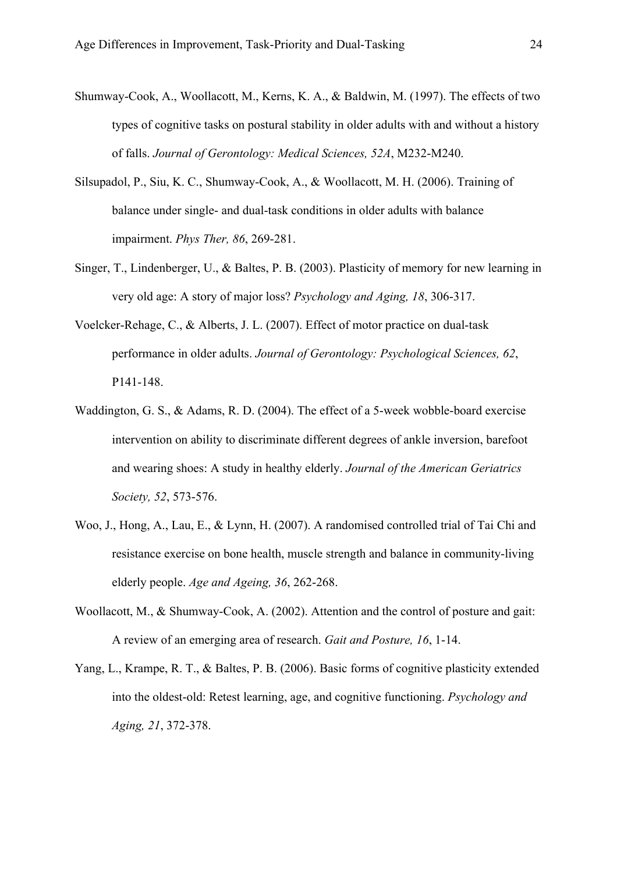- Shumway-Cook, A., Woollacott, M., Kerns, K. A., & Baldwin, M. (1997). The effects of two types of cognitive tasks on postural stability in older adults with and without a history of falls. *Journal of Gerontology: Medical Sciences, 52A*, M232-M240.
- Silsupadol, P., Siu, K. C., Shumway-Cook, A., & Woollacott, M. H. (2006). Training of balance under single- and dual-task conditions in older adults with balance impairment. *Phys Ther, 86*, 269-281.
- Singer, T., Lindenberger, U., & Baltes, P. B. (2003). Plasticity of memory for new learning in very old age: A story of major loss? *Psychology and Aging, 18*, 306-317.
- Voelcker-Rehage, C., & Alberts, J. L. (2007). Effect of motor practice on dual-task performance in older adults. *Journal of Gerontology: Psychological Sciences, 62*, P141-148.
- Waddington, G. S., & Adams, R. D. (2004). The effect of a 5-week wobble-board exercise intervention on ability to discriminate different degrees of ankle inversion, barefoot and wearing shoes: A study in healthy elderly. *Journal of the American Geriatrics Society, 52*, 573-576.
- Woo, J., Hong, A., Lau, E., & Lynn, H. (2007). A randomised controlled trial of Tai Chi and resistance exercise on bone health, muscle strength and balance in community-living elderly people. *Age and Ageing, 36*, 262-268.
- Woollacott, M., & Shumway-Cook, A. (2002). Attention and the control of posture and gait: A review of an emerging area of research. *Gait and Posture, 16*, 1-14.
- Yang, L., Krampe, R. T., & Baltes, P. B. (2006). Basic forms of cognitive plasticity extended into the oldest-old: Retest learning, age, and cognitive functioning. *Psychology and Aging, 21*, 372-378.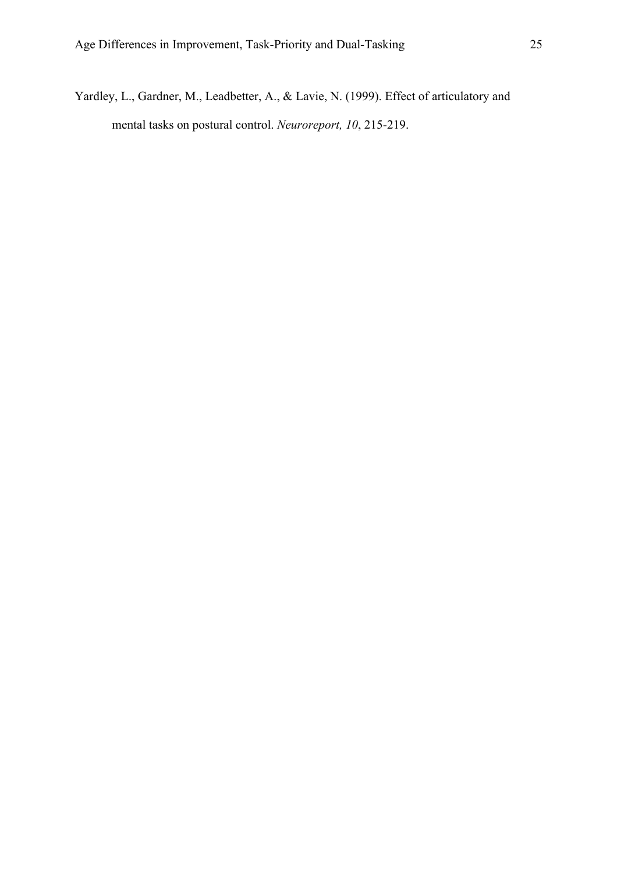Yardley, L., Gardner, M., Leadbetter, A., & Lavie, N. (1999). Effect of articulatory and mental tasks on postural control. *Neuroreport, 10*, 215-219.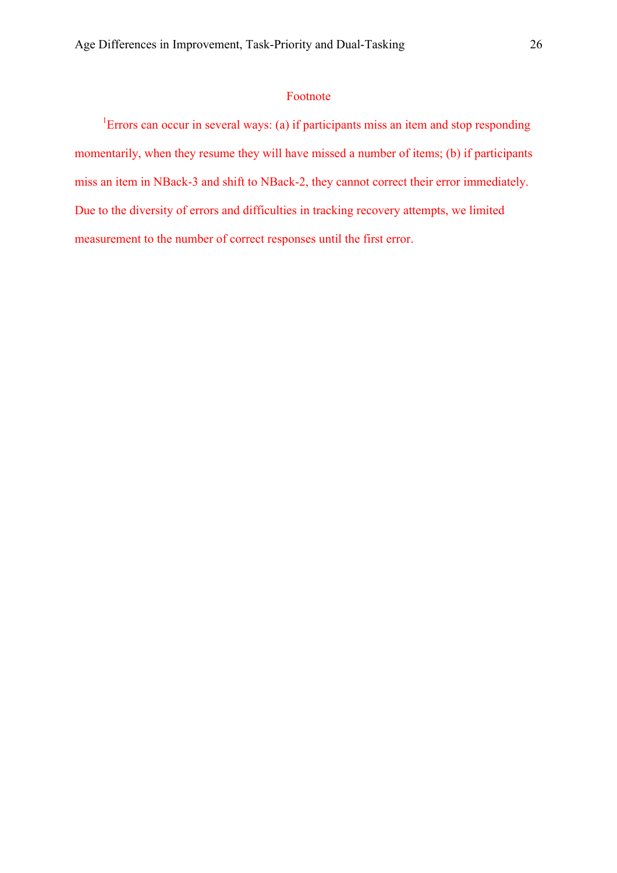# Footnote

<sup>1</sup>Errors can occur in several ways: (a) if participants miss an item and stop responding momentarily, when they resume they will have missed a number of items; (b) if participants miss an item in NBack-3 and shift to NBack-2, they cannot correct their error immediately. Due to the diversity of errors and difficulties in tracking recovery attempts, we limited measurement to the number of correct responses until the first error.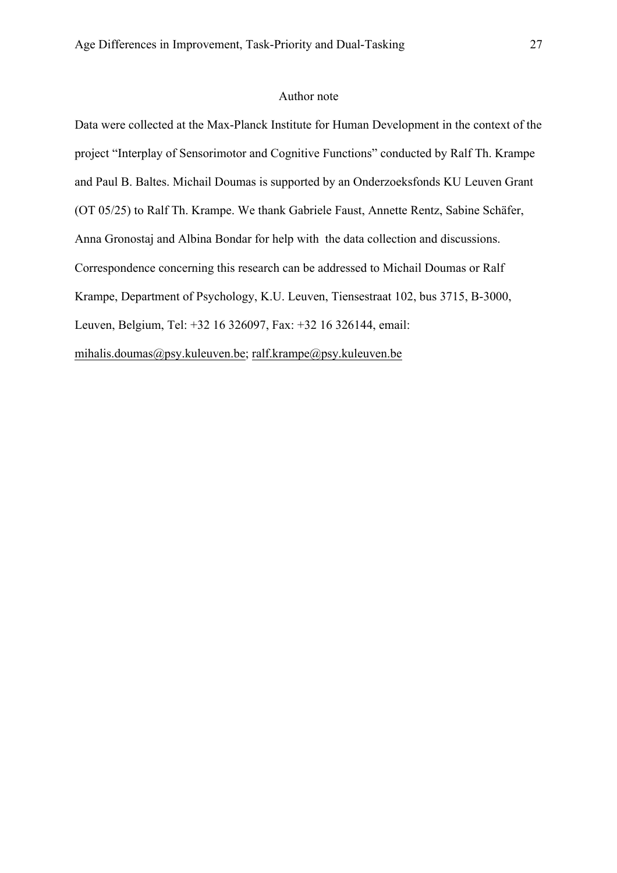# Author note

Data were collected at the Max-Planck Institute for Human Development in the context of the project "Interplay of Sensorimotor and Cognitive Functions" conducted by Ralf Th. Krampe and Paul B. Baltes. Michail Doumas is supported by an Onderzoeksfonds KU Leuven Grant (OT 05/25) to Ralf Th. Krampe. We thank Gabriele Faust, Annette Rentz, Sabine Schäfer, Anna Gronostaj and Albina Bondar for help with the data collection and discussions. Correspondence concerning this research can be addressed to Michail Doumas or Ralf Krampe, Department of Psychology, K.U. Leuven, Tiensestraat 102, bus 3715, B-3000, Leuven, Belgium, Tel: +32 16 326097, Fax: +32 16 326144, email:

mihalis.doumas@psy.kuleuven.be; ralf.krampe@psy.kuleuven.be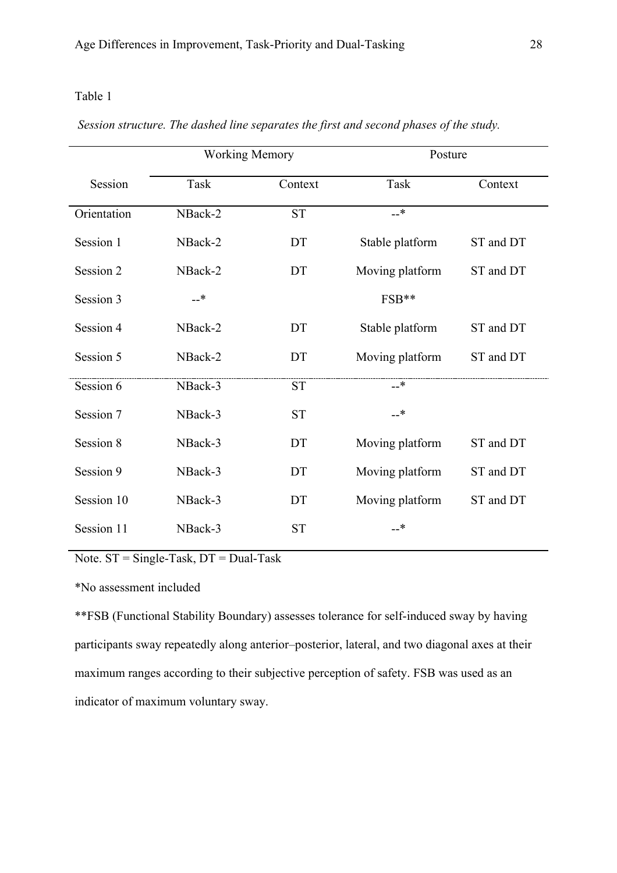# Table 1

| Session structure. The dashed line separates the first and second phases of the study. |  |  |  |  |  |
|----------------------------------------------------------------------------------------|--|--|--|--|--|
|----------------------------------------------------------------------------------------|--|--|--|--|--|

|             | <b>Working Memory</b> |           | Posture         |           |
|-------------|-----------------------|-----------|-----------------|-----------|
| Session     | Task                  | Context   | Task            | Context   |
| Orientation | NBack-2               | <b>ST</b> | $\cdot$         |           |
| Session 1   | NBack-2               | DT        | Stable platform | ST and DT |
| Session 2   | NBack-2               | DT        | Moving platform | ST and DT |
| Session 3   | $-*$                  |           | FSB**           |           |
| Session 4   | NBack-2               | DT        | Stable platform | ST and DT |
| Session 5   | NBack-2               | DT        | Moving platform | ST and DT |
| Session 6   | NBack-3               | <b>ST</b> | _*              |           |
| Session 7   | NBack-3               | <b>ST</b> | $-*$            |           |
| Session 8   | NBack-3               | DT        | Moving platform | ST and DT |
| Session 9   | NBack-3               | DT        | Moving platform | ST and DT |
| Session 10  | NBack-3               | DT        | Moving platform | ST and DT |
| Session 11  | NBack-3               | <b>ST</b> | __*             |           |

Note. ST = Single-Task, DT = Dual-Task

\*No assessment included

\*\*FSB (Functional Stability Boundary) assesses tolerance for self-induced sway by having participants sway repeatedly along anterior–posterior, lateral, and two diagonal axes at their maximum ranges according to their subjective perception of safety. FSB was used as an indicator of maximum voluntary sway.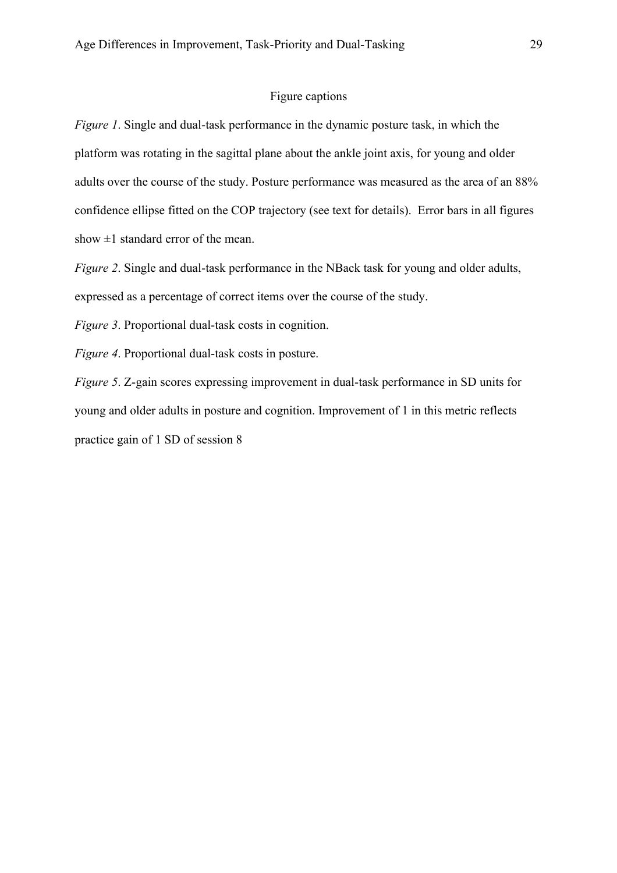# Figure captions

*Figure 1*. Single and dual-task performance in the dynamic posture task, in which the platform was rotating in the sagittal plane about the ankle joint axis, for young and older adults over the course of the study. Posture performance was measured as the area of an 88% confidence ellipse fitted on the COP trajectory (see text for details). Error bars in all figures show  $\pm 1$  standard error of the mean.

*Figure 2*. Single and dual-task performance in the NBack task for young and older adults, expressed as a percentage of correct items over the course of the study.

*Figure 3*. Proportional dual-task costs in cognition.

*Figure 4*. Proportional dual-task costs in posture.

*Figure 5*. Z-gain scores expressing improvement in dual-task performance in SD units for young and older adults in posture and cognition. Improvement of 1 in this metric reflects practice gain of 1 SD of session 8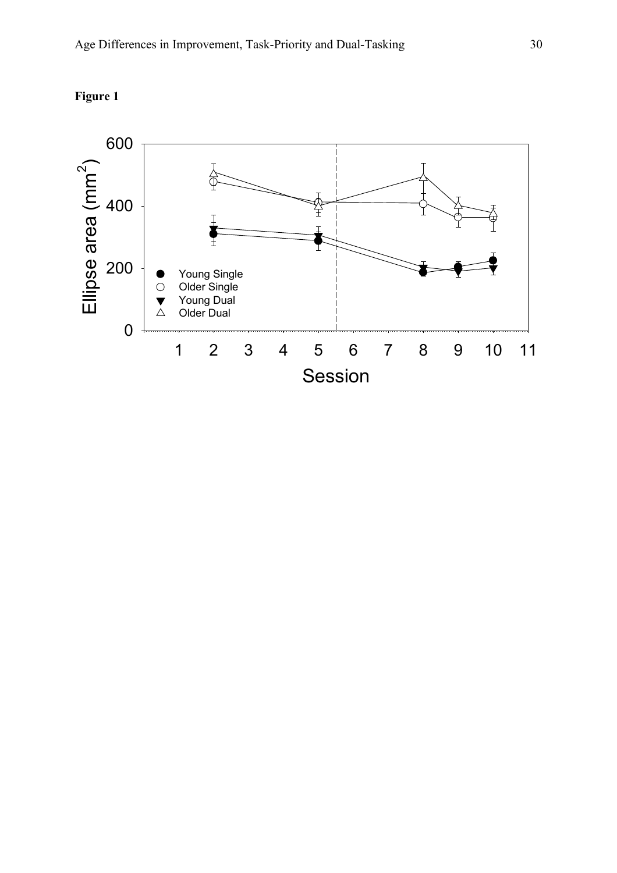

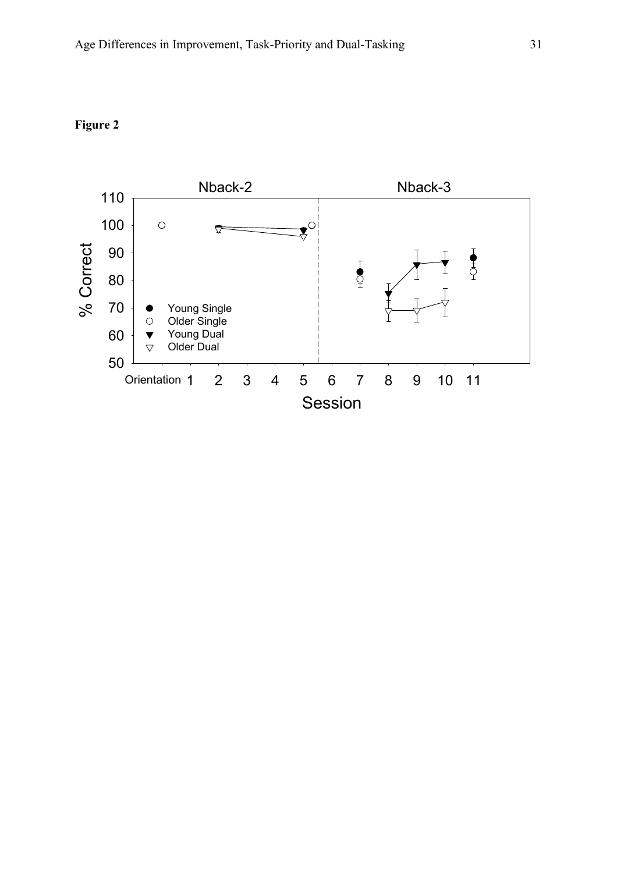

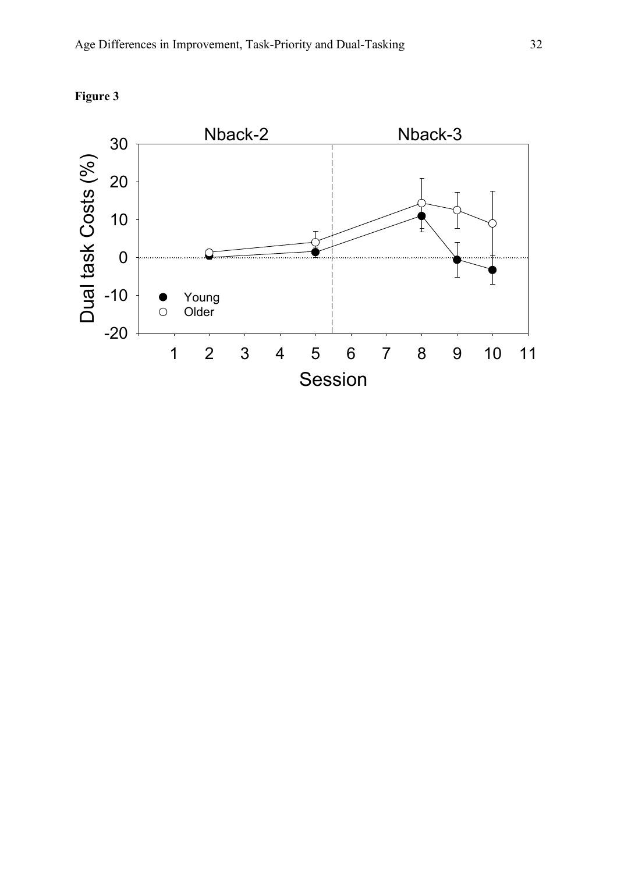

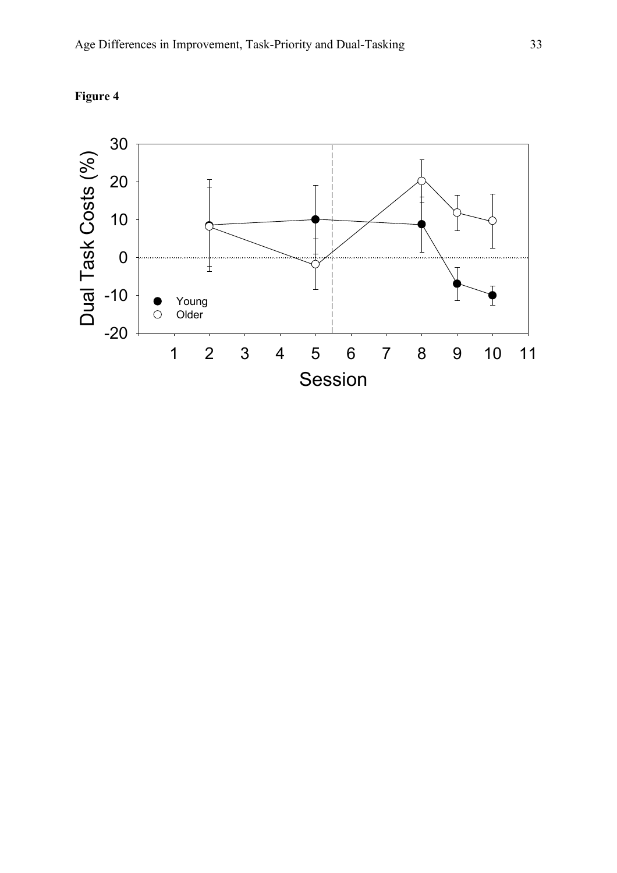